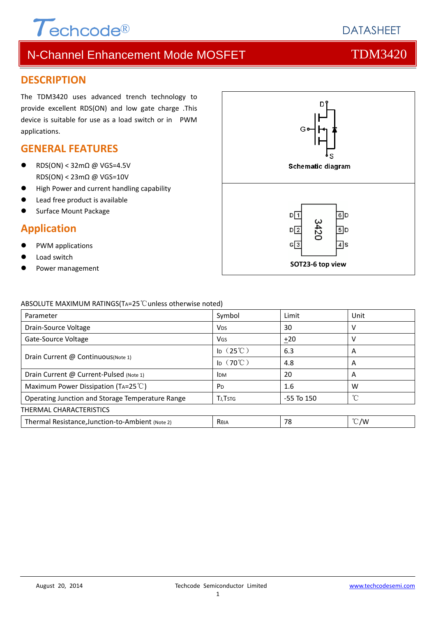

# N-Channel Enhancement Mode MOSFET THE TDM3420

### **DESCRIPTION**

The TDM3420 uses advanced trench technology to provide excellent RDS(ON) and low gate charge .This device is suitable for use as a load switch or in PWM applications.

### **GENERAL FEATURES**

- RDS(ON) < 32mΩ @ VGS=4.5V RDS(ON) < 23mΩ @ VGS=10V
- **•** High Power and current handling capability
- Lead free product is available
- Surface Mount Package

## **Application**

- PWM applications
- Load switch
- 



### ABSOLUTE MAXIMUM RATINGS(TA=25℃unless otherwise noted)

| Parameter                                        | Symbol                    | Limit          | Unit          |
|--------------------------------------------------|---------------------------|----------------|---------------|
| Drain-Source Voltage                             | <b>V<sub>DS</sub></b>     | 30             |               |
| Gate-Source Voltage                              | VGS                       | ±20            |               |
| Drain Current @ Continuous(Note 1)               | $\mathsf{ID}$ (25°C)      | 6.3            | A             |
|                                                  | Ip $(70^{\circ}\text{C})$ | 4.8            | Α             |
| Drain Current @ Current-Pulsed (Note 1)          | <b>IDM</b>                | 20             | A             |
| Maximum Power Dissipation (TA=25 $^{\circ}$ C)   | P <sub>D</sub>            | 1.6            | W             |
| Operating Junction and Storage Temperature Range | <b>TJ, TSTG</b>           | $-55$ To $150$ | °C            |
| THERMAL CHARACTERISTICS                          |                           |                |               |
| Thermal Resistance, Junction-to-Ambient (Note 2) | Reja                      | 78             | $\degree$ C/W |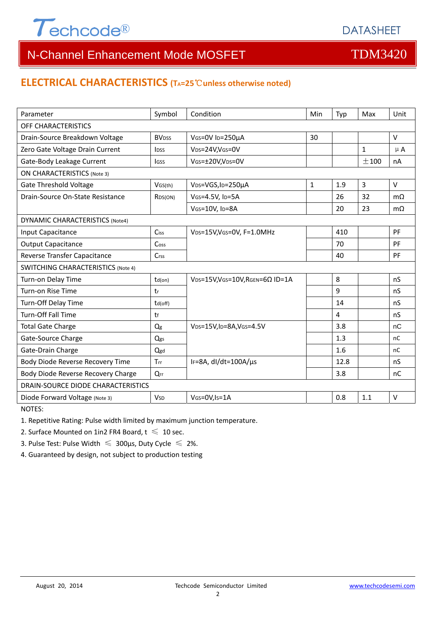

# N-Channel Enhancement Mode MOSFET THE TDM3420

## **ELECTRICAL CHARACTERISTICS (TA=25**℃**unless otherwise noted)**

| Parameter                                 | Symbol                  | Condition                                                     | Min | Typ  | Max            | Unit      |
|-------------------------------------------|-------------------------|---------------------------------------------------------------|-----|------|----------------|-----------|
| OFF CHARACTERISTICS                       |                         |                                                               |     |      |                |           |
| Drain-Source Breakdown Voltage            | <b>BV<sub>DSS</sub></b> | VGS=0V ID=250µA                                               | 30  |      |                | V         |
| Zero Gate Voltage Drain Current           | <b>IDSS</b>             | VDS=24V,VGS=0V                                                |     |      | $\mathbf{1}$   | $\mu$ A   |
| Gate-Body Leakage Current                 | <b>IGSS</b>             | VGS=±20V,VDS=0V                                               |     |      | ±100           | nA        |
| <b>ON CHARACTERISTICS (Note 3)</b>        |                         |                                                               |     |      |                |           |
| <b>Gate Threshold Voltage</b>             | VGS(th)                 | VDS=VGS, ID=250µA                                             | 1   | 1.9  | $\overline{3}$ | V         |
| Drain-Source On-State Resistance          | R <sub>DS</sub> (ON)    | VGS=4.5V, ID=5A                                               |     | 26   | 32             | $m\Omega$ |
|                                           |                         | VGS=10V, ID=8A                                                |     | 20   | 23             | $m\Omega$ |
| DYNAMIC CHARACTERISTICS (Note4)           |                         |                                                               |     |      |                |           |
| Input Capacitance                         | Ciss                    | VDS=15V, VGS=0V, F=1.0MHz                                     |     | 410  |                | PF        |
| <b>Output Capacitance</b>                 | Coss                    |                                                               |     | 70   |                | PF        |
| Reverse Transfer Capacitance              | Crss                    |                                                               |     | 40   |                | PF        |
| <b>SWITCHING CHARACTERISTICS (Note 4)</b> |                         |                                                               |     |      |                |           |
| Turn-on Delay Time                        | $td($ on $)$            | VDS=15V, VGS=10V, RGEN=6Ω ID=1A                               |     | 8    |                | nS        |
| Turn-on Rise Time                         | tr                      |                                                               |     | 9    |                | nS        |
| Turn-Off Delay Time                       | td(off)                 |                                                               |     | 14   |                | nS        |
| <b>Turn-Off Fall Time</b>                 | tf                      |                                                               |     | 4    |                | nS        |
| <b>Total Gate Charge</b>                  | $Q_g$                   | V <sub>DS</sub> =15V,I <sub>D</sub> =8A,V <sub>GS</sub> =4.5V |     | 3.8  |                | nC        |
| Gate-Source Charge                        | Qgs                     |                                                               |     | 1.3  |                | nC        |
| Gate-Drain Charge                         | Qgd                     |                                                               |     | 1.6  |                | nC        |
| Body Diode Reverse Recovery Time          | Trr                     | IF=8A, dl/dt=100A/µs                                          |     | 12.8 |                | nS        |
| Body Diode Reverse Recovery Charge        | Qrr                     |                                                               |     | 3.8  |                | nC        |
| DRAIN-SOURCE DIODE CHARACTERISTICS        |                         |                                                               |     |      |                |           |
| Diode Forward Voltage (Note 3)            | <b>V<sub>SD</sub></b>   | VGS=0V, Is=1A                                                 |     | 0.8  | 1.1            | $\vee$    |
| NOTES:                                    |                         |                                                               |     |      |                |           |

1. Repetitive Rating: Pulse width limited by maximum junction temperature.

2. Surface Mounted on 1in2 FR4 Board,  $t \leq 10$  sec.

3. Pulse Test: Pulse Width  $\leq 300$ μs, Duty Cycle  $\leq 2\%$ .

4. Guaranteed by design, not subject to production testing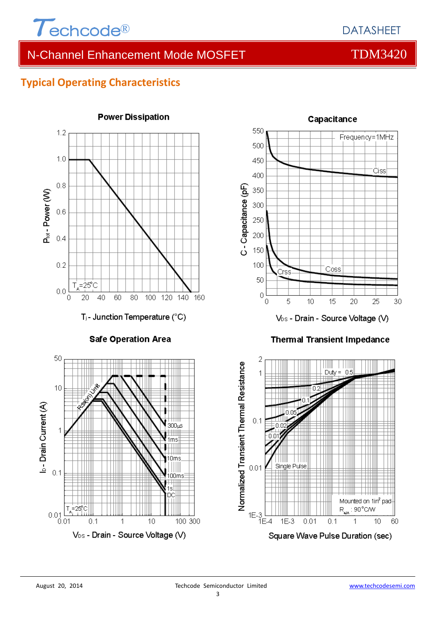

## DATASHEET

# N-Channel Enhancement Mode MOSFET THE TDM3420

## **Typical Operating Characteristics**



**Safe Operation Area** 



### **Power Dissipation**



V<sub>DS</sub> - Drain - Source Voltage (V)

### **Thermal Transient Impedance**

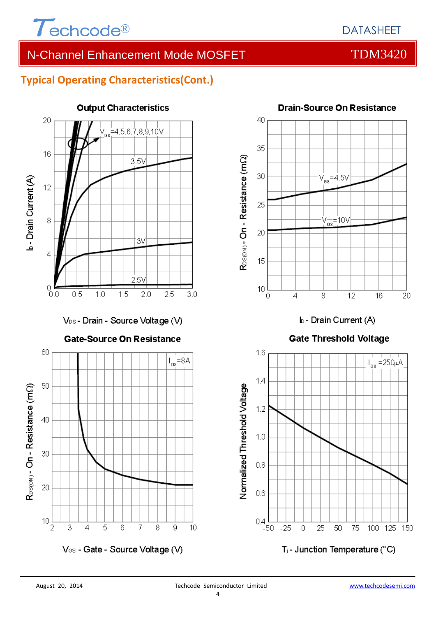

**Drain-Source On Resistance** 

# N-Channel Enhancement Mode MOSFET TOM3420

## **Typical Operating Characteristics(Cont.)**



**Output Characteristics** 





T<sub>j</sub> - Junction Temperature (°C)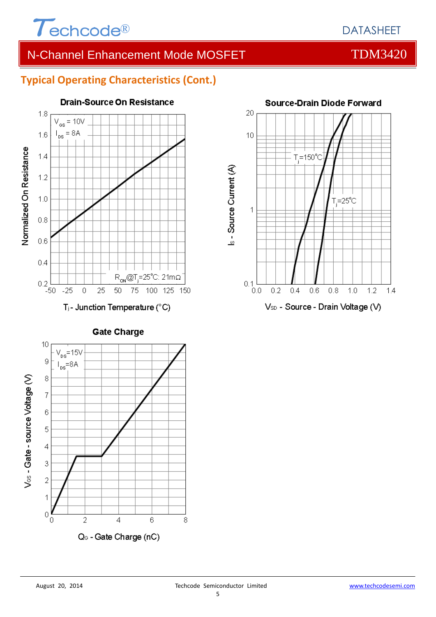

# N-Channel Enhancement Mode MOSFET THE TOM3420

## **Typical Operating Characteristics (Cont.)**



**Drain-Source On Resistance** 



**Gate Charge** 

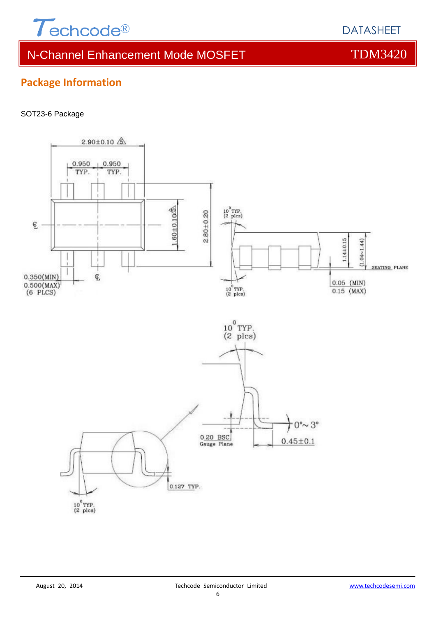

# N-Channel Enhancement Mode MOSFET THE TDM3420

# **Package Information**

### SOT23-6 Package



## DATASHEET